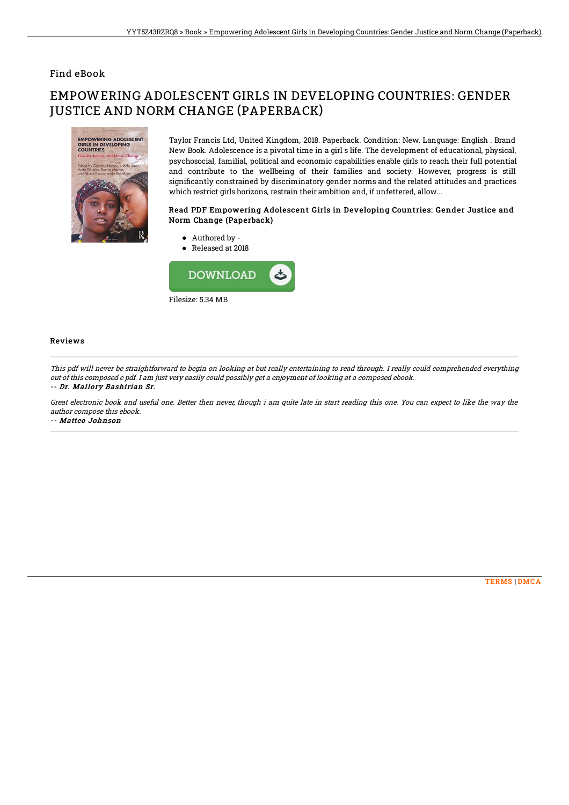### Find eBook

# EMPOWERING ADOLESCENT GIRLS IN DEVELOPING COUNTRIES: GENDER JUSTICE AND NORM CHANGE (PAPERBACK)



Taylor Francis Ltd, United Kingdom, 2018. Paperback. Condition: New. Language: English . Brand New Book. Adolescence is a pivotal time in a girl s life. The development of educational, physical, psychosocial, familial, political and economic capabilities enable girls to reach their full potential and contribute to the wellbeing of their families and society. However, progress is still significantly constrained by discriminatory gender norms and the related attitudes and practices which restrict girls horizons, restrain their ambition and, if unfettered, allow...

#### Read PDF Empowering Adolescent Girls in Developing Countries: Gender Justice and Norm Change (Paperback)

Authored by - ● Released at 2018



#### Reviews

This pdf will never be straightforward to begin on looking at but really entertaining to read through. I really could comprehended everything out of this composed <sup>e</sup> pdf. I am just very easily could possibly get <sup>a</sup> enjoyment of looking at <sup>a</sup> composed ebook. -- Dr. Mallory Bashirian Sr.

Great electronic book and useful one. Better then never, though i am quite late in start reading this one. You can expect to like the way the author compose this ebook.

-- Matteo Johnson